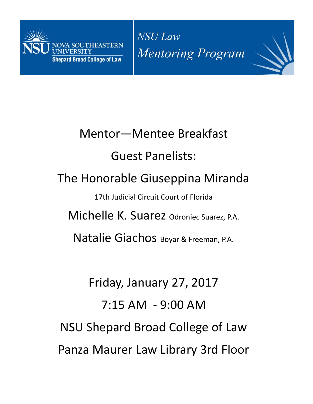

NSU Law **Mentoring Program** 

# Mentor—Mentee Breakfast Guest Panelists: The Honorable Giuseppina Miranda 17th Judicial Circuit Court of Florida Michelle K. Suarez Odroniec Suarez, P.A. Natalie Giachos Boyar & Freeman, P.A.

Friday, January 27, 2017 7:15 AM ‐ 9:00 AM NSU Shepard Broad College of Law Panza Maurer Law Library 3rd Floor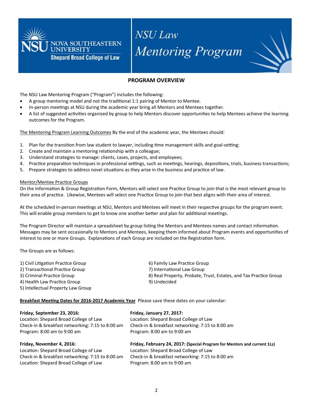

## **NSU Law Mentoring Program**

### **PROGRAM OVERVIEW**

The NSU Law Mentoring Program ("Program") includes the following:

- A group mentoring model and not the traditional 1:1 pairing of Mentor to Mentee.
- In-person meetings at NSU during the academic year bring all Mentors and Mentees together.
- A list of suggested activities organized by group to help Mentors discover opportunities to help Mentees achieve the learning outcomes for the Program.

The Mentoring Program Learning Outcomes By the end of the academic year, the Mentees should:

- 1. Plan for the transition from law student to lawyer, including time management skills and goal-setting;
- 2. Create and maintain a mentoring relationship with a colleague;
- 3. Understand strategies to manage: clients, cases, projects, and employees;
- 4. Practice preparation techniques in professional settings, such as meetings, hearings, depositions, trials, business transactions;
- 5. Prepare strategies to address novel situations as they arise in the business and practice of law.

#### **Mentor/Mentee Practice Groups**

On the Information & Group Registration Form, Mentors will select one Practice Group to join that is the most relevant group to their area of practice. Likewise, Mentees will select one Practice Group to join that best aligns with their area of interest.

At the scheduled in-person meetings at NSU, Mentors and Mentees will meet in their respective groups for the program event. This will enable group members to get to know one another better and plan for additional meetings.

The Program Director will maintain a spreadsheet by group listing the Mentors and Mentees names and contact information. Messages may be sent occasionally to Mentors and Mentees, keeping them informed about Program events and opportunities of interest to one or more Groups. Explanations of each Group are included on the Registration form.

The Groups are as follows:

| 1) Civil Litigation Practice Group | 6) Family Law Practice Group                                      |
|------------------------------------|-------------------------------------------------------------------|
| 2) Transactional Practice Group    | 7) International Law Group                                        |
| 3) Criminal Practice Group         | 8) Real Property, Probate, Trust, Estates, and Tax Practice Group |
| 4) Health Law Practice Group       | 9) Undecided                                                      |
| 5) Intellectual Property Law Group |                                                                   |

Breakfast Meeting Dates for 2016-2017 Academic Year Please save these dates on your calendar:

| Friday, September 23, 2016:                      | Friday, January 27, 2017:                                                |  |
|--------------------------------------------------|--------------------------------------------------------------------------|--|
| Location: Shepard Broad College of Law           | Location: Shepard Broad College of Law                                   |  |
| Check-in & breakfast networking: 7:15 to 8:00 am | Check-in & breakfast networking: 7:15 to 8:00 am                         |  |
| Program: 8:00 am to 9:00 am                      | Program: 8:00 am to 9:00 am                                              |  |
| Friday, November 4, 2016:                        | Friday, February 24, 2017: (Special Program for Mentors and current 1Ls) |  |
| Location: Shepard Broad College of Law           | Location: Shepard Broad College of Law                                   |  |
| Check-in & breakfast networking: 7:15 to 8:00 am | Check-in & breakfast networking: 7:15 to 8:00 am                         |  |
| Location: Shepard Broad College of Law           | Program: 8:00 am to 9:00 am                                              |  |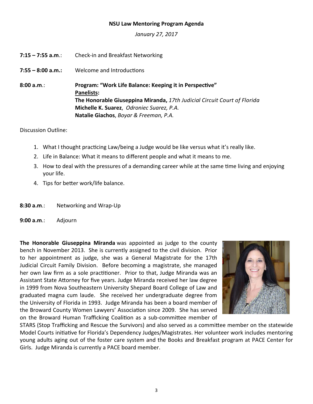### **NSU Law Mentoring Program Agenda**

*January 27, 2017* 

- **7:15 7:55 a.m**.: Check‐in and Breakfast Networking
- **7:55 8:00 a.m.:** Welcome and Introductions

**8:00 a.m**.: **Program: "Work Life Balance: Keeping it in PerspecƟve" Panelists: The Honorable Giuseppina Miranda,** *17th Judicial Circuit Court of Florida*  **Michelle K. Suarez**, *Odroniec Suarez, P.A.* **Natalie Giachos**, *Boyar & Freeman, P.A.* 

Discussion Outline:

- 1. What I thought practicing Law/being a Judge would be like versus what it's really like.
- 2. Life in Balance: What it means to different people and what it means to me.
- 3. How to deal with the pressures of a demanding career while at the same time living and enjoying your life.
- 4. Tips for better work/life balance.

| 8:30 a.m.∶ | Networking and Wrap-Up |
|------------|------------------------|
|------------|------------------------|

**9:00 a.m**.: Adjourn

**The Honorable Giuseppina Miranda** was appointed as judge to the county bench in November 2013. She is currently assigned to the civil division. Prior to her appointment as judge, she was a General Magistrate for the 17th Judicial Circuit Family Division. Before becoming a magistrate, she managed her own law firm as a sole practitioner. Prior to that, Judge Miranda was an Assistant State Attorney for five years. Judge Miranda received her law degree in 1999 from Nova Southeastern University Shepard Board College of Law and graduated magna cum laude. She received her undergraduate degree from the University of Florida in 1993. Judge Miranda has been a board member of the Broward County Women Lawyers' Association since 2009. She has served on the Broward Human Trafficking Coalition as a sub-committee member of



STARS (Stop Trafficking and Rescue the Survivors) and also served as a committee member on the statewide Model Courts initiative for Florida's Dependency Judges/Magistrates. Her volunteer work includes mentoring young adults aging out of the foster care system and the Books and Breakfast program at PACE Center for Girls. Judge Miranda is currently a PACE board member.